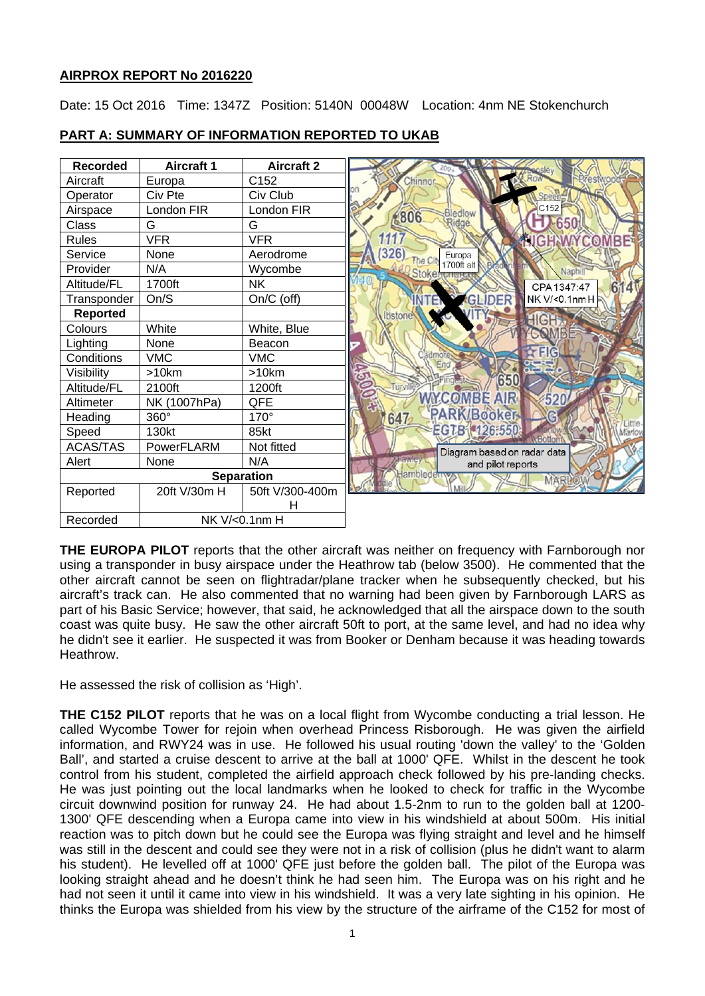# **AIRPROX REPORT No 2016220**

Date: 15 Oct 2016 Time: 1347Z Position: 5140N 00048W Location: 4nm NE Stokenchurch



# **PART A: SUMMARY OF INFORMATION REPORTED TO UKAB**

**THE EUROPA PILOT** reports that the other aircraft was neither on frequency with Farnborough nor using a transponder in busy airspace under the Heathrow tab (below 3500). He commented that the other aircraft cannot be seen on flightradar/plane tracker when he subsequently checked, but his aircraft's track can. He also commented that no warning had been given by Farnborough LARS as part of his Basic Service; however, that said, he acknowledged that all the airspace down to the south coast was quite busy. He saw the other aircraft 50ft to port, at the same level, and had no idea why he didn't see it earlier. He suspected it was from Booker or Denham because it was heading towards Heathrow.

He assessed the risk of collision as 'High'.

**THE C152 PILOT** reports that he was on a local flight from Wycombe conducting a trial lesson. He called Wycombe Tower for rejoin when overhead Princess Risborough. He was given the airfield information, and RWY24 was in use. He followed his usual routing 'down the valley' to the 'Golden Ball', and started a cruise descent to arrive at the ball at 1000' QFE. Whilst in the descent he took control from his student, completed the airfield approach check followed by his pre-landing checks. He was just pointing out the local landmarks when he looked to check for traffic in the Wycombe circuit downwind position for runway 24. He had about 1.5-2nm to run to the golden ball at 1200- 1300' QFE descending when a Europa came into view in his windshield at about 500m. His initial reaction was to pitch down but he could see the Europa was flying straight and level and he himself was still in the descent and could see they were not in a risk of collision (plus he didn't want to alarm his student). He levelled off at 1000' QFE just before the golden ball. The pilot of the Europa was looking straight ahead and he doesn't think he had seen him. The Europa was on his right and he had not seen it until it came into view in his windshield. It was a very late sighting in his opinion. He thinks the Europa was shielded from his view by the structure of the airframe of the C152 for most of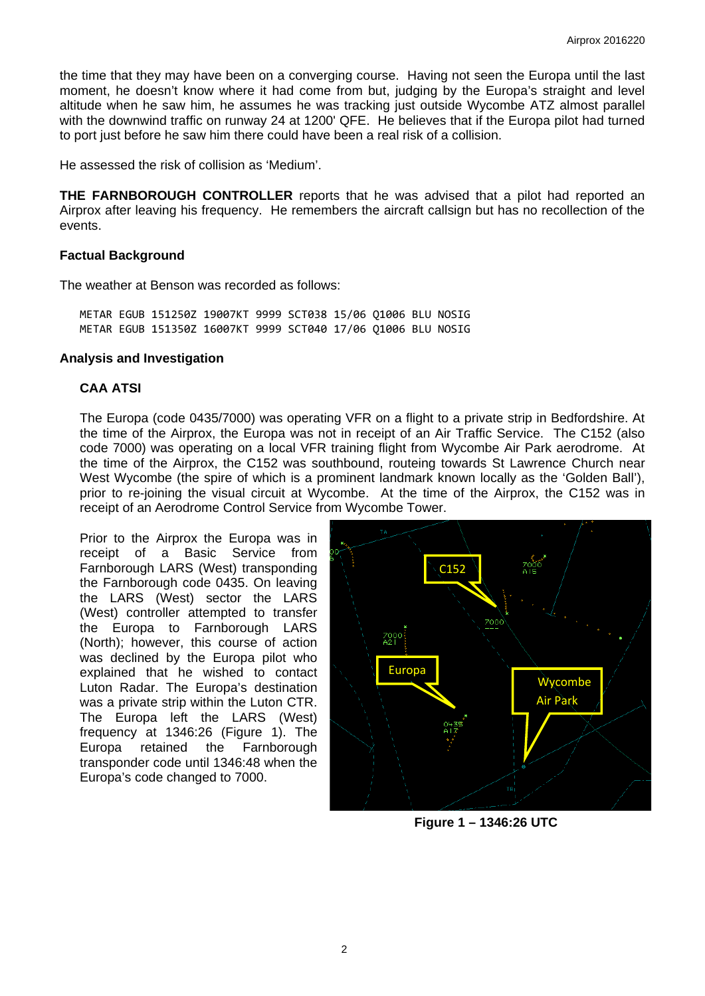the time that they may have been on a converging course. Having not seen the Europa until the last moment, he doesn't know where it had come from but, judging by the Europa's straight and level altitude when he saw him, he assumes he was tracking just outside Wycombe ATZ almost parallel with the downwind traffic on runway 24 at 1200' QFE. He believes that if the Europa pilot had turned to port just before he saw him there could have been a real risk of a collision.

He assessed the risk of collision as 'Medium'.

**THE FARNBOROUGH CONTROLLER** reports that he was advised that a pilot had reported an Airprox after leaving his frequency. He remembers the aircraft callsign but has no recollection of the events.

#### **Factual Background**

The weather at Benson was recorded as follows:

METAR EGUB 151250Z 19007KT 9999 SCT038 15/06 Q1006 BLU NOSIG METAR EGUB 151350Z 16007KT 9999 SCT040 17/06 Q1006 BLU NOSIG

### **Analysis and Investigation**

### **CAA ATSI**

The Europa (code 0435/7000) was operating VFR on a flight to a private strip in Bedfordshire. At the time of the Airprox, the Europa was not in receipt of an Air Traffic Service. The C152 (also code 7000) was operating on a local VFR training flight from Wycombe Air Park aerodrome. At the time of the Airprox, the C152 was southbound, routeing towards St Lawrence Church near West Wycombe (the spire of which is a prominent landmark known locally as the 'Golden Ball'), prior to re-joining the visual circuit at Wycombe. At the time of the Airprox, the C152 was in receipt of an Aerodrome Control Service from Wycombe Tower.

Prior to the Airprox the Europa was in receipt of a Basic Service from Farnborough LARS (West) transponding the Farnborough code 0435. On leaving the LARS (West) sector the LARS (West) controller attempted to transfer the Europa to Farnborough LARS (North); however, this course of action was declined by the Europa pilot who explained that he wished to contact Luton Radar. The Europa's destination was a private strip within the Luton CTR. The Europa left the LARS (West) frequency at 1346:26 (Figure 1). The Europa retained the Farnborough transponder code until 1346:48 when the Europa's code changed to 7000.



 **Figure 1 – 1346:26 UTC**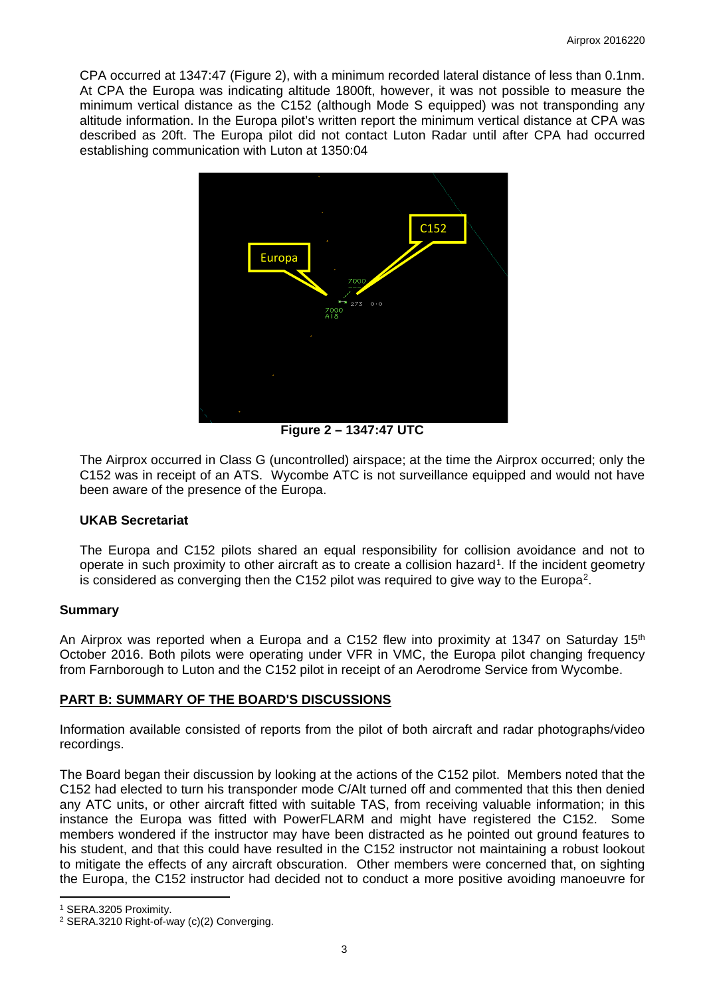CPA occurred at 1347:47 (Figure 2), with a minimum recorded lateral distance of less than 0.1nm. At CPA the Europa was indicating altitude 1800ft, however, it was not possible to measure the minimum vertical distance as the C152 (although Mode S equipped) was not transponding any altitude information. In the Europa pilot's written report the minimum vertical distance at CPA was described as 20ft. The Europa pilot did not contact Luton Radar until after CPA had occurred establishing communication with Luton at 1350:04



**Figure 2 – 1347:47 UTC**

The Airprox occurred in Class G (uncontrolled) airspace; at the time the Airprox occurred; only the C152 was in receipt of an ATS. Wycombe ATC is not surveillance equipped and would not have been aware of the presence of the Europa.

# **UKAB Secretariat**

The Europa and C152 pilots shared an equal responsibility for collision avoidance and not to operate in such proximity to other aircraft as to create a collision hazard<sup>[1](#page-2-0)</sup>. If the incident geometry is considered as converging then the C152 pilot was required to give way to the Europa[2.](#page-2-1)

#### **Summary**

An Airprox was reported when a Europa and a C152 flew into proximity at 1347 on Saturday  $15<sup>th</sup>$ October 2016. Both pilots were operating under VFR in VMC, the Europa pilot changing frequency from Farnborough to Luton and the C152 pilot in receipt of an Aerodrome Service from Wycombe.

# **PART B: SUMMARY OF THE BOARD'S DISCUSSIONS**

Information available consisted of reports from the pilot of both aircraft and radar photographs/video recordings.

The Board began their discussion by looking at the actions of the C152 pilot. Members noted that the C152 had elected to turn his transponder mode C/Alt turned off and commented that this then denied any ATC units, or other aircraft fitted with suitable TAS, from receiving valuable information; in this instance the Europa was fitted with PowerFLARM and might have registered the C152. Some members wondered if the instructor may have been distracted as he pointed out ground features to his student, and that this could have resulted in the C152 instructor not maintaining a robust lookout to mitigate the effects of any aircraft obscuration. Other members were concerned that, on sighting the Europa, the C152 instructor had decided not to conduct a more positive avoiding manoeuvre for

 $\overline{a}$ 

<span id="page-2-0"></span><sup>1</sup> SERA.3205 Proximity.

<span id="page-2-1"></span><sup>2</sup> SERA.3210 Right-of-way (c)(2) Converging.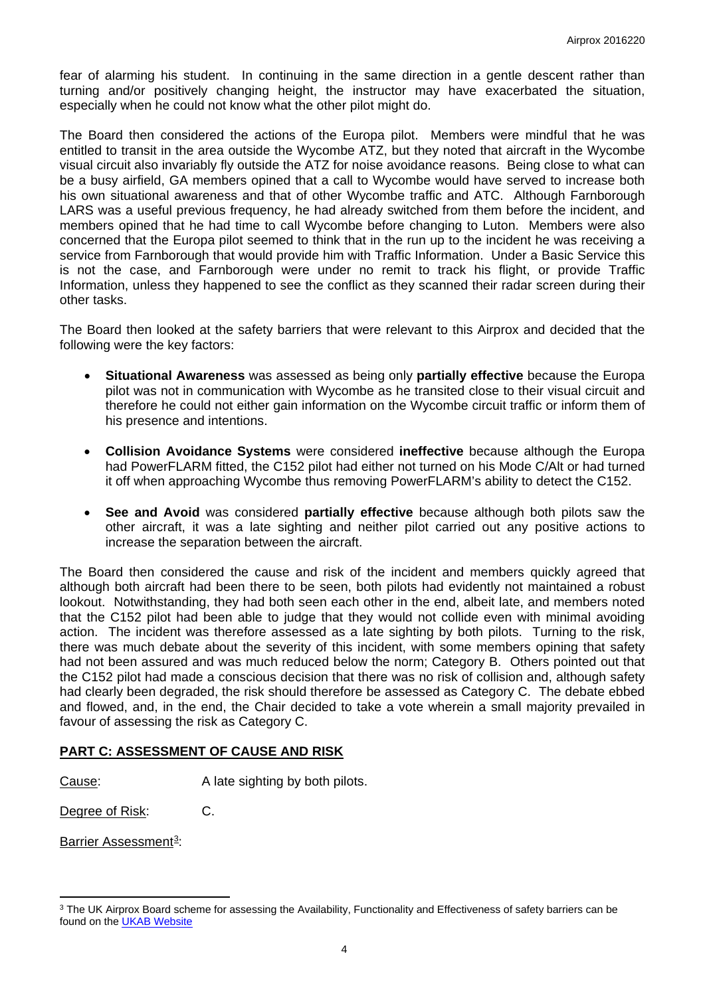fear of alarming his student. In continuing in the same direction in a gentle descent rather than turning and/or positively changing height, the instructor may have exacerbated the situation, especially when he could not know what the other pilot might do.

The Board then considered the actions of the Europa pilot. Members were mindful that he was entitled to transit in the area outside the Wycombe ATZ, but they noted that aircraft in the Wycombe visual circuit also invariably fly outside the ATZ for noise avoidance reasons. Being close to what can be a busy airfield, GA members opined that a call to Wycombe would have served to increase both his own situational awareness and that of other Wycombe traffic and ATC. Although Farnborough LARS was a useful previous frequency, he had already switched from them before the incident, and members opined that he had time to call Wycombe before changing to Luton. Members were also concerned that the Europa pilot seemed to think that in the run up to the incident he was receiving a service from Farnborough that would provide him with Traffic Information. Under a Basic Service this is not the case, and Farnborough were under no remit to track his flight, or provide Traffic Information, unless they happened to see the conflict as they scanned their radar screen during their other tasks.

The Board then looked at the safety barriers that were relevant to this Airprox and decided that the following were the key factors:

- **Situational Awareness** was assessed as being only **partially effective** because the Europa pilot was not in communication with Wycombe as he transited close to their visual circuit and therefore he could not either gain information on the Wycombe circuit traffic or inform them of his presence and intentions.
- **Collision Avoidance Systems** were considered **ineffective** because although the Europa had PowerFLARM fitted, the C152 pilot had either not turned on his Mode C/Alt or had turned it off when approaching Wycombe thus removing PowerFLARM's ability to detect the C152.
- **See and Avoid** was considered **partially effective** because although both pilots saw the other aircraft, it was a late sighting and neither pilot carried out any positive actions to increase the separation between the aircraft.

The Board then considered the cause and risk of the incident and members quickly agreed that although both aircraft had been there to be seen, both pilots had evidently not maintained a robust lookout. Notwithstanding, they had both seen each other in the end, albeit late, and members noted that the C152 pilot had been able to judge that they would not collide even with minimal avoiding action. The incident was therefore assessed as a late sighting by both pilots. Turning to the risk, there was much debate about the severity of this incident, with some members opining that safety had not been assured and was much reduced below the norm; Category B. Others pointed out that the C152 pilot had made a conscious decision that there was no risk of collision and, although safety had clearly been degraded, the risk should therefore be assessed as Category C. The debate ebbed and flowed, and, in the end, the Chair decided to take a vote wherein a small majority prevailed in favour of assessing the risk as Category C.

# **PART C: ASSESSMENT OF CAUSE AND RISK**

Cause: A late sighting by both pilots.

Degree of Risk: C.

Barrier Assessment<sup>3</sup>:

 $\overline{a}$ 

<span id="page-3-0"></span><sup>&</sup>lt;sup>3</sup> The UK Airprox Board scheme for assessing the Availability, Functionality and Effectiveness of safety barriers can be found on the **UKAB Website**